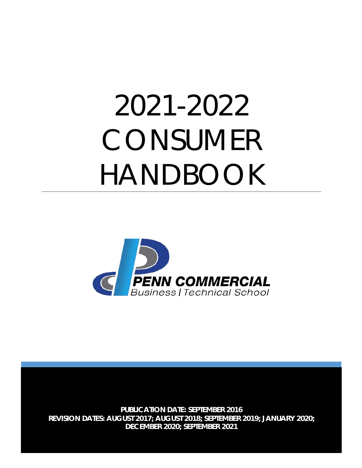# 2021-2022 CONSUMER HANDBOOK



**PUBLICATION DATE: SEPTEMBER 2016 REVISION DATES: AUGUST 2017; AUGUST 2018; SEPTEMBER 2019; JANUARY 2020; DECEMBER 2020; SEPTEMBER 2021**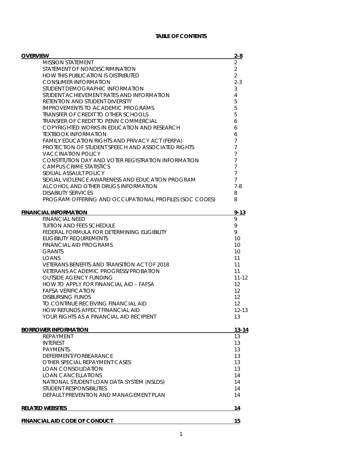# **TABLE OF CONTENTS**

| <b>OVERVIEW</b>                                                                       | $2 - 8$                          |
|---------------------------------------------------------------------------------------|----------------------------------|
| <b>MISSION STATEMENT</b>                                                              | $\overline{2}$                   |
| STATEMENT OF NONDISCRIMINATION                                                        | $\overline{2}$                   |
| <b>HOW THIS PUBLICATION IS DISTRIBUTED</b>                                            | $\overline{2}$                   |
| <b>CONSUMER INFORMATION</b>                                                           | $2 - 3$                          |
| STUDENT DEMOGRAPHIC INFORMATION                                                       | 3                                |
| STUDENT ACHIEVEMENT RATES AND INFORMATION                                             | 4                                |
| RETENTION AND STUDENT DIVERSITY                                                       | 5                                |
| <b>IMPROVEMENTS TO ACADEMIC PROGRAMS</b>                                              | 5                                |
| TRANSFER OF CREDIT TO OTHER SCHOOLS                                                   | 5                                |
| <b>TRANSFER OF CREDIT TO PENN COMMERCIAL</b>                                          | 6                                |
| COPYRIGHTED WORKS IN EDUCATION AND RESEARCH                                           | 6                                |
| <b>TEXTBOOK INFORMATION</b>                                                           | 6                                |
| FAMILY EDUCATION RIGHTS AND PRIVACY ACT (FERPA)                                       | 7                                |
| PROTECTION OF STUDENT SPEECH AND ASSOCIATED RIGHTS                                    | $\overline{7}$                   |
| <b>VACCINATION POLICY</b>                                                             | $\overline{7}$<br>$\overline{7}$ |
| CONSTITUTION DAY AND VOTER REGISTRATION INFORMATION<br><b>CAMPUS CRIME STATISTICS</b> | $\overline{7}$                   |
| SEXUAL ASSAULT POLICY                                                                 | $\overline{7}$                   |
| SEXUAL VIOLENCE AWARENESS AND EDUCATION PROGRAM                                       | $\overline{7}$                   |
| ALCOHOL AND OTHER DRUGS INFORMATION                                                   | $7 - 8$                          |
| <b>DISABILITY SERVICES</b>                                                            | 8                                |
| PROGRAM OFFERING AND OCCUPATIONAL PROFILES (SOC CODES)                                | 8                                |
|                                                                                       |                                  |
| <b>FINANCIAL INFORMATION</b>                                                          | $9 - 13$                         |
| <b>FINANCIAL NEED</b>                                                                 | 9                                |
| <b>TUITION AND FEES SCHEDULE</b>                                                      | 9                                |
| FEDERAL FORMULA FOR DETERMINING ELIGIBILITY                                           | 9                                |
| <b>ELIGIBILITY REQUIREMENTS</b>                                                       | 10                               |
| <b>FINANCIAL AID PROGRAMS</b>                                                         | 10                               |
| <b>GRANTS</b>                                                                         | 10                               |
| LOANS                                                                                 | 11                               |
| VETERANS BENEFITS AND TRANSITION ACT OF 2018                                          | 11                               |
| <b>VETERANS ACADEMIC PROGRESS/PROBATION</b>                                           | 11                               |
| <b>OUTSIDE AGENCY FUNDING</b><br>HOW TO APPLY FOR FINANCIAL AID - FAFSA               | $11 - 12$<br>$12 \overline{ }$   |
| <b>FAFSA VERIFICATION</b>                                                             | 12                               |
| <b>DISBURSING FUNDS</b>                                                               | 12                               |
| TO CONTINUE RECEIVING FINANCIAL AID                                                   | 12                               |
| HOW REFUNDS AFFECT FINANCIAL AID                                                      | $12 - 13$                        |
| YOUR RIGHTS AS A FINANCIAL AID RECIPIENT                                              | 13                               |
|                                                                                       |                                  |
| <b>BORROWER INFORMATION</b>                                                           | $13 - 14$                        |
| REPAYMENT                                                                             | 13                               |
| <b>INTEREST</b>                                                                       | 13                               |
| <b>PAYMENTS</b>                                                                       | 13                               |
| DEFERMENT/FORBEARANCE                                                                 | 13                               |
| OTHER SPECIAL REPAYMENT CASES                                                         | 13                               |
| LOAN CONSOLIDATION                                                                    | 13                               |
| <b>LOAN CANCELLATIONS</b>                                                             | 14                               |
| NATIONAL STUDENT LOAN DATA SYSTEM (NSLDS)                                             | 14                               |
| STUDENT RESPONSIBILITIES                                                              | 14                               |
| DEFAULT PREVENTION AND MANAGEMENT PLAN                                                | 14                               |
| <b>RELATED WEBSITES</b>                                                               | 14                               |
|                                                                                       |                                  |
| <b>FINANCIAL AID CODE OF CONDUCT</b>                                                  | 15                               |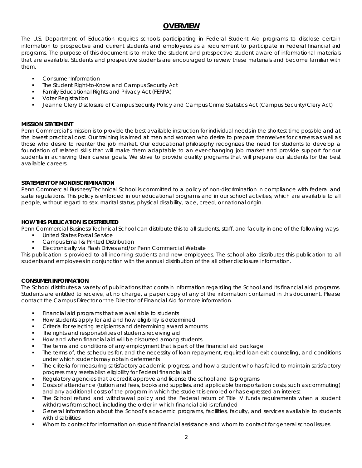# **OVERVIEW**

The U.S. Department of Education requires schools participating in Federal Student Aid programs to disclose certain information to prospective and current students and employees as a requirement to participate in Federal financial aid programs. The purpose of this document is to make the student and prospective student aware of informational materials that are available. Students and prospective students are encouraged to review these materials and become familiar with them.

- Consumer Information
- The Student Right-to-Know and Campus Security Act
- Family Educational Rights and Privacy Act (FERPA)
- Voter Registration
- Jeanne Clery Disclosure of Campus Security Policy and Campus Crime Statistics Act (Campus Security/Clery Act)

# **MISSION STATEMENT**

Penn Commercial's mission is to provide the best available instruction for individual needs in the shortest time possible and at the lowest practical cost. Our training is aimed at men and women who desire to prepare themselves for careers as well as those who desire to reenter the job market. Our educational philosophy recognizes the need for students to develop a foundation of related skills that will make them adaptable to an ever-changing job market and provide support for our students in achieving their career goals. We strive to provide quality programs that will prepare our students for the best available careers.

# **STATEMENT OF NONDISCRIMINATION**

Penn Commercial Business/Technical School is committed to a policy of non-discrimination in compliance with federal and state regulations. This policy is enforced in our educational programs and in our school activities, which are available to all people, without regard to sex, marital status, physical disability, race, creed, or national origin.

# **HOW THIS PUBLICATION IS DISTRIBUTED**

Penn Commercial Business/Technical School can distribute this to all students, staff, and faculty in one of the following ways:

- United States Postal Service
- Campus Email & Printed Distribution
- Electronically via Flash Drives and/or Penn Commercial Website

This publication is provided to all incoming students and new employees. The school also distributes this publication to all students and employees in conjunction with the annual distribution of the all other disclosure information.

# **CONSUMER INFORMATION**

The School distributes a variety of publications that contain information regarding the School and its financial aid programs. Students are entitled to receive, at no charge, a paper copy of any of the information contained in this document. Please contact the Campus Director or the Director of Financial Aid for more information.

- Financial aid programs that are available to students
- How students apply for aid and how eligibility is determined
- Criteria for selecting recipients and determining award amounts
- The rights and responsibilities of students receiving aid
- How and when financial aid will be disbursed among students
- The terms and conditions of any employment that is part of the financial aid package
- The terms of, the schedules for, and the necessity of loan repayment, required loan exit counseling, and conditions under which students may obtain deferments
- The criteria for measuring satisfactory academic progress, and how a student who has failed to maintain satisfactory progress may reestablish eligibility for Federal financial aid
- Regulatory agencies that accredit approve and license the school and its programs
- Costs of attendance (tuition and fees, books and supplies, and applicable transportation costs, such as commuting) and any additional costs of the program in which the student is enrolled or has expressed an interest
- The School refund and withdrawal policy and the Federal return of Title IV funds requirements when a student withdraws from school, including the order in which financial aid is refunded
- General information about the School's academic programs, facilities, faculty, and services available to students with disabilities
- Whom to contact for information on student financial assistance and whom to contact for general school issues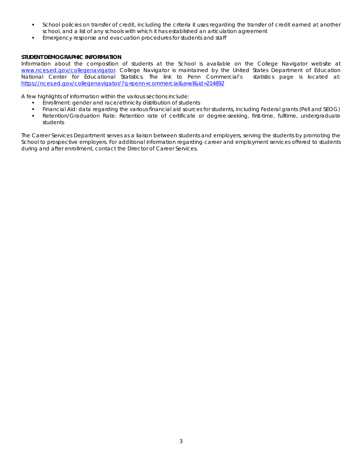- School policies on transfer of credit, including the criteria it uses regarding the transfer of credit earned at another school, and a list of any schools with which it has established an articulation agreement
- Emergency response and evacuation procedures for students and staff

# **STUDENT DEMOGRAPHIC INFORMATION**

Information about the composition of students at the School is available on the College Navigator website at [www.nces.ed.gov/collegenavigator.](http://www.nces.ed.gov/collegenavigator) College Navigator is maintained by the United States Department of Education National Center for Educational Statistics. The link to Penn Commercial's statistics page is located at: <https://nces.ed.gov/collegenavigator/?q=penn+commercial&s=all&id=214892>

A few highlights of information within the various sections include:

- Enrollment: gender and race/ethnicity distribution of students
- Financial Aid: data regarding the various financial aid sources for students, including Federal grants (Pell and SEOG)
- Retention/Graduation Rate: Retention rate of certificate or degree-seeking, first-time, fulltime, undergraduate students

The Career Services Department serves as a liaison between students and employers, serving the students by promoting the School to prospective employers. For additional information regarding career and employment services offered to students during and after enrollment, contact the Director of Career Services.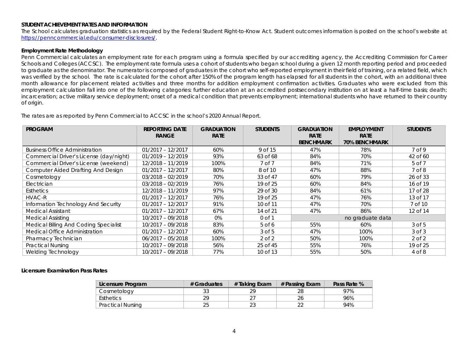#### **STUDENT ACHIEVEMENT RATES AND INFORMATION**

The School calculates graduation statistics as required by the Federal Student Right-to-Know Act. Student outcomes information is posted on the school's website at [https://penncommercial.edu/consumer-disclosures/.](https://penncommercial.edu/consumer-disclosures/)

#### **Employment Rate Methodology**

Penn Commercial calculates an employment rate for each program using a formula specified by our accrediting agency, the Accrediting Commission for Career Schools and Colleges (ACCSC). The employment rate formula uses a cohort of students who began school during a given 12 month reporting period and proceeded to graduate as the denominator. The numerator is composed of graduates in the cohort who self-reported employment in their field of training, or a related field, which was verified by the school. The rate is calculated for the cohort after 150% of the program length has elapsed for all students in the cohort, with an additional three month allowance for placement related activities and three months for addition employment confirmation activities. Graduates who were excluded from this employment calculation fall into one of the following categories: further education at an accredited postsecondary institution on at least a half-time basis; death; incarceration; active military service deployment; onset of a medical condition that prevents employment; international students who have returned to their country of origin.

*The rates are as reported by Penn Commercial to ACCSC in the school's 2020 Annual Report.*

| <b>PROGRAM</b>                            | <b>REPORTING DATE</b> | <b>GRADUATION</b> | <b>STUDENTS</b> | <b>GRADUATION</b> | <b>EMPLOYMENT</b>    | <b>STUDENTS</b>   |
|-------------------------------------------|-----------------------|-------------------|-----------------|-------------------|----------------------|-------------------|
|                                           | <b>RANGE</b>          | <b>RATE</b>       |                 | <b>RATE</b>       | <b>RATE</b>          |                   |
|                                           |                       |                   |                 | <b>BENCHMARK</b>  | <b>70% BENCHMARK</b> |                   |
| <b>Business Office Administration</b>     | $01/2017 - 12/2017$   | 60%               | 9 of 15         | 47%               | 78%                  | 7 <sub>of</sub> 9 |
| Commercial Driver's License (day/night)   | $01/2019 - 12/2019$   | 93%               | 63 of 68        | 84%               | 70%                  | 42 of 60          |
| Commercial Driver's License (weekend)     | 12/2018 - 11/2019     | 100%              | 7 of 7          | 84%               | 71%                  | 5 of 7            |
| <b>Computer Aided Drafting And Design</b> | $01/2017 - 12/2017$   | 80%               | 8 of 10         | 47%               | 88%                  | $7$ of 8          |
| Cosmetology                               | $03/2018 - 02/2019$   | 70%               | 33 of 47        | 60%               | 79%                  | 26 of 33          |
| Electrician                               | $03/2018 - 02/2019$   | 76%               | 19 of 25        | 60%               | 84%                  | 16 of 19          |
| <b>Esthetics</b>                          | 12/2018 - 11/2019     | 97%               | 29 of 30        | 84%               | 61%                  | 17 of 28          |
| HVAC-R                                    | $01/2017 - 12/2017$   | 76%               | 19 of 25        | 47%               | 76%                  | 13 of 17          |
| Information Technology And Security       | $01/2017 - 12/2017$   | 91%               | 10 of 11        | 47%               | 70%                  | 7 of 10           |
| <b>Medical Assistant</b>                  | $01/2017 - 12/2017$   | 67%               | 14 of 21        | 47%               | 86%                  | 12 of 14          |
| <b>Medical Assisting</b>                  | $10/2017 - 09/2018$   | 0%                | $0$ of $1$      | no graduate data  |                      |                   |
| Medical Billing And Coding Specialist     | $10/2017 - 09/2018$   | 83%               | $5$ of 6        | 55%               | 60%                  | $3$ of $5$        |
| Medical Office Administration             | $01/2017 - 12/2017$   | 60%               | 3 of 5          | 47%               | 100%                 | $3$ of $3$        |
| Pharmacy Technician                       | $06/2017 - 05/2018$   | 100%              | $2$ of $2$      | 50%               | 100%                 | $2$ of $2$        |
| <b>Practical Nursing</b>                  | 10/2017 - 09/2018     | 56%               | 25 of 45        | 55%               | 76%                  | 19 of 25          |
| Welding Technology                        | 10/2017 - 09/2018     | 77%               | 10 of 13        | 55%               | 50%                  | 4 of 8            |

#### **Licensure Examination Pass Rates**

| Licensure Program        | # Graduates | # Taking Exam | # Passing Exam | Pass Rate % |
|--------------------------|-------------|---------------|----------------|-------------|
| Cosmetology              |             |               |                | 97%         |
| <b>Esthetics</b>         | つロ          |               |                | 96%         |
| <b>Practical Nursing</b> |             |               |                | 94%         |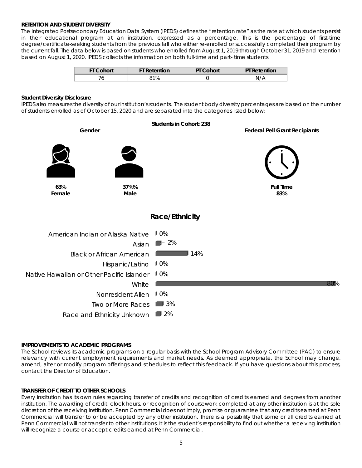# **RETENTION AND STUDENT DIVERSITY**

The Integrated Postsecondary Education Data System (IPEDS) defines the "retention rate" as the rate at which students persist in their educational program at an institution, expressed as a percentage. This is the percentage of first-time degree/certificate-seeking students from the previous fall who either re-enrolled or successfully completed their program by the current fall. The data below is based on students who enrolled from August 1, 2019 through October 31, 2019 and retention based on August 1, 2020. IPEDS collects the information on both full-time and part- time students.

| <b>FT Cohort</b> | <b>FT Retention</b> | Cohort | Retention |
|------------------|---------------------|--------|-----------|
|                  | $1\%$               |        | N,        |

## **Student Diversity Disclosure**

IPEDS also measures the diversity of our institution's students. The student body diversity percentages are based on the number of students enrolled as of October 15, 2020 and are separated into the categories listed below:



# **IMPROVEMENTS TO ACADEMIC PROGRAMS**

The School reviews its academic programs on a regular basis with the School Program Advisory Committee (PAC) to ensure relevancy with current employment requirements and market needs. As deemed appropriate, the School may change, amend, alter or modify program offerings and schedules to reflect this feedback. If you have questions about this process, contact the Director of Education.

# **TRANSFER OF CREDIT TO OTHER SCHOOLS**

Every institution has its own rules regarding transfer of credits and recognition of credits earned and degrees from another institution. The awarding of credit, clock hours, or recognition of coursework completed at any other institution is at the sole discretion of the receiving institution. Penn Commercial does not imply, promise or guarantee that any credits earned at Penn Commercial will transfer to or be accepted by any other institution. There is a possibility that some or all credits earned at Penn Commercial will not transfer to other institutions. It is the student's responsibility to find out whether a receiving institution will recognize a course or accept credits earned at Penn Commercial.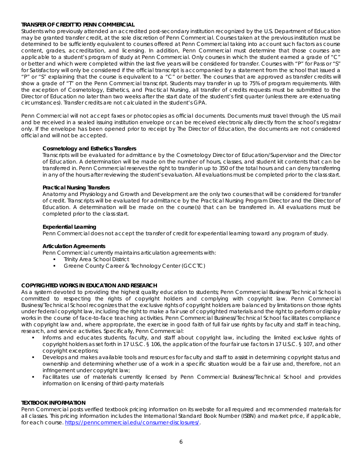# **TRANSFER OF CREDIT TO PENN COMMERCIAL**

Students who previously attended an accredited post-secondary institution recognized by the U.S. Department of Education may be granted transfer credit, at the sole discretion of Penn Commercial. Courses taken at the previous institution must be determined to be sufficiently equivalent to courses offered at Penn Commercial taking into account such factors as course content, grades, accreditation, and licensing. In addition, Penn Commercial must determine that those courses are applicable to a student's program of study at Penn Commercial. Only courses in which the student earned a grade of "C" or better and which were completed within the last five years will be considered for transfer. Courses with "P" for Pass or "S" for Satisfactory will only be considered if the official transcript is accompanied by a statement from the school that issued a "P" or "S" explaining that the course is equivalent to a "C" or better. The courses that are approved as transfer credits will show a grade of "T" on the Penn Commercial transcript. Students may transfer in up to 75% of program requirements. With the exception of Cosmetology, Esthetics, and Practical Nursing, all transfer of credits requests must be submitted to the Director of Education no later than two weeks after the start date of the student's first quarter (unless there are extenuating circumstances). Transfer credits are not calculated in the student's GPA.

Penn Commercial will not accept faxes or photocopies as official documents. Documents must travel through the US mail and be received in a sealed issuing institution envelope or can be received electronically directly from the school's registrar only. If the envelope has been opened prior to receipt by The Director of Education, the documents are not considered official and will not be accepted.

# *Cosmetology and Esthetics Transfers*

Transcripts will be evaluated for admittance by the Cosmetology Director of Education/Supervisor and the Director of Education. A determination will be made on the number of hours, classes, and student kit contents that can be transferred in. Penn Commercial reserves the right to transfer in up to 350 of the total hours and can deny transferring in any of the hours after reviewing the student's evaluation. All evaluations must be completed prior to the class start.

## *Practical Nursing Transfers*

Anatomy and Physiology and Growth and Development are the only two courses that will be considered for transfer of credit. Transcripts will be evaluated for admittance by the Practical Nursing Program Director and the Director of Education. A determination will be made on the course(s) that can be transferred in. All evaluations must be completed prior to the class start.

## *Experiential Learning*

Penn Commercial does not accept the transfer of credit for experiential learning toward any program of study.

## *Articulation Agreements*

Penn Commercial currently maintains articulation agreements with:

- Trinity Area School District
- Greene County Career & Technology Center (GCCTC)

# **COPYRIGHTED WORKS IN EDUCATION AND RESEARCH**

As a system devoted to providing the highest quality education to students; Penn Commercial Business/Technical School is committed to respecting the rights of copyright holders and complying with copyright law. Penn Commercial Business/Technical School recognizes that the exclusive rights of copyright holders are balanced by limitations on those rights under federal copyright law, including the right to make a fair use of copyrighted materials and the right to perform or display works in the course of face-to-face teaching activities. Penn Commercial Business/Technical School facilitates compliance with copyright law and, where appropriate, the exercise in good faith of full fair use rights by faculty and staff in teaching, research, and service activities. Specifically, Penn Commercial:

- Informs and educates students, faculty, and staff about copyright law, including the limited exclusive rights of copyright holders as set forth in 17 U.S.C. § 106, the application of the four fair use factors in 17 U.S.C. § 107, and other copyright exceptions;
- Develops and makes available tools and resources for faculty and staff to assist in determining copyright status and ownership and determining whether use of a work in a specific situation would be a fair use and, therefore, not an infringement under copyright law;
- Facilitates use of materials currently licensed by Penn Commercial Business/Technical School and provides information on licensing of third-party materials

# **TEXTBOOK INFORMATION**

Penn Commercial posts verified textbook pricing information on its website for all required and recommended materials for all classes. This pricing information includes the International Standard Book Number (ISBN) and market price, if applicable, for each course. [https://penncommercial.edu/consumer-disclosures/.](https://penncommercial.edu/consumer-disclosures/)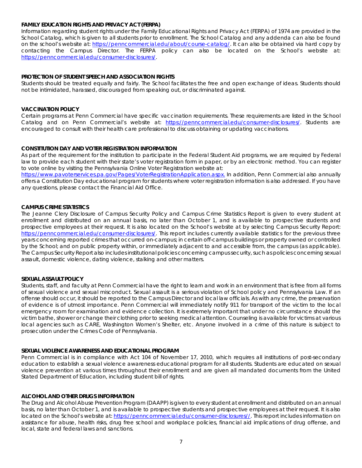# **FAMILY EDUCATION RIGHTS AND PRIVACY ACT (FERPA)**

Information regarding student rights under the Family Educational Rights and Privacy Act (FERPA) of 1974 are provided in the School Catalog, which is given to all students prior to enrollment. The School Catalog and any addenda can also be found on the school's website at: [https://penncommercial.edu/about/course-catalog/.](https://penncommercial.edu/about/course-catalog/) It can also be obtained via hard copy by contacting the Campus Director. The FERPA policy can also be located on the School's website at: [https://penncommercial.edu/consumer-disclosures/.](https://penncommercial.edu/consumer-disclosures/)

# **PROTECTION OF STUDENT SPEECH AND ASSOCIATION RIGHTS**

Students should be treated equally and fairly. The School facilitates the free and open exchange of ideas. Students should not be intimidated, harassed, discouraged from speaking out, or discriminated against.

# **VACCINATION POLICY**

Certain programs at Penn Commercial have specific vaccination requirements. These requirements are listed in the School Catalog and on Penn Commercial's website at: [https://penncommercial.edu/consumer-disclosures/.](https://penncommercial.edu/consumer-disclosures/) Students are encouraged to consult with their health care professional to discuss obtaining or updating vaccinations.

# **CONSTITUTION DAY AND VOTER REGISTRATION INFORMATION**

As part of the requirement for the institution to participate in the Federal Student Aid programs, we are required by Federal law to provide each student with their state's voter registration form in paper, or by an electronic method. You can register to vote online by visiting the Pennsylvania Online Voter Registration website at:

[https://www.pavoterservices.pa.gov/Pages/VoterRegistrationApplication.aspx.](https://www.pavoterservices.pa.gov/Pages/VoterRegistrationApplication.aspx) In addition, Penn Commercial also annually offers a Constitution Day educational program for students where voter registration information is also addressed. If you have any questions, please contact the Financial Aid Office.

## **CAMPUS CRIME STATISTICS**

The Jeanne Clery Disclosure of Campus Security Policy and Campus Crime Statistics Report is given to every student at enrollment and distributed on an annual basis, no later than October 1, and is available to prospective students and prospective employees at their request. It is also located on the School's website at by selecting Campus Security Report: [https://penncommercial.edu/consumer-disclosures/.](https://penncommercial.edu/consumer-disclosures/) This report includes currently available statistics for the previous three years concerning reported crimes that occurred on-campus; in certain off-campus buildings or property owned or controlled by the School; and on public property within, or immediately adjacent to and accessible from, the campus (as applicable). The Campus Security Report also includes institutional policies concerning campus security, such as policies concerning sexual assault, domestic violence, dating violence, stalking and other matters.

## **SEXUAL ASSAULT POLICY**

Students, staff, and faculty at Penn Commercial have the right to learn and work in an environment that is free from all forms of sexual violence and sexual misconduct. Sexual assault is a serious violation of School policy and Pennsylvania Law. If an offense should occur, it should be reported to the Campus Director and local law officials. As with any crime, the preservation of evidence is of utmost importance. Penn Commercial will immediately notify 911 for transport of the victim to the local emergency room for examination and evidence collection. It is extremely important that under no circumstance should the victim bathe, shower or change their clothing prior to seeking medical attention. Counseling is available for victims at various local agencies such as CARE, Washington Women's Shelter, etc. Anyone involved in a crime of this nature is subject to prosecution under the Crimes Code of Pennsylvania.

## **SEXUAL VIOLENCE AWARENESS AND EDUCATIONAL PROGRAM**

Penn Commercial is in compliance with Act 104 of November 17, 2010, which requires all institutions of post-secondary education to establish a sexual violence awareness educational program for all students. Students are educated on sexual violence prevention at various times throughout their enrollment and are given all mandated documents from the United Stated Department of Education, including student bill of rights.

## **ALCOHOL AND OTHER DRUGS INFORMATION**

The Drug and Alcohol Abuse Prevention Program (DAAPP) is given to every student at enrollment and distributed on an annual basis, no later than October 1, and is available to prospective students and prospective employees at their request. It is also located on the School's website at: [https://penncommercial.edu/consumer-disclosures//.](https://penncommercial.edu/consumer-disclosures/) This report includes information on assistance for abuse, health risks, drug free school and workplace policies, financial aid implications of drug offense, and local, state and federal laws and sanctions.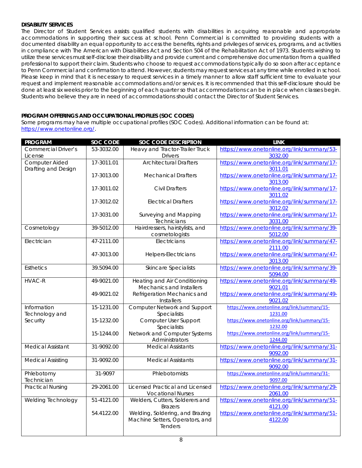# **DISABILITY SERVICES**

The Director of Student Services assists qualified students with disabilities in acquiring reasonable and appropriate accommodations in supporting their success at school. Penn Commercial is committed to providing students with a documented disability an equal opportunity to access the benefits, rights and privileges of services, programs, and activities in compliance with The American with Disabilities Act and Section 504 of the Rehabilitation Act of 1973. Students wishing to utilize these services must self-disclose their disability and provide current and comprehensive documentation from a qualified professional to support their claim. Students who choose to request accommodations typically do so soon after acceptance to Penn Commercial and confirmation to attend. However, students may request services at any time while enrolled in school. Please keep in mind that it is necessary to request services in a timely manner to allow staff sufficient time to evaluate your request and implement reasonable accommodations and/or services. It is recommended that this self-disclosure should be done at least six weeks prior to the beginning of each quarter so that accommodations can be in place when classes begin. Students who believe they are in need of accommodations should contact the Director of Student Services.

# **PROGRAM OFFERINGS AND OCCUPATIONAL PROFILES (SOC CODES)**

Some programs may have multiple occupational profiles (SOC Codes). Additional information can be found at: [https://www.onetonline.org/.](https://www.onetonline.org/)

| <b>PROGRAM</b>             | SOC CODE   | <b>SOC CODE DESCRIPTION</b>            | <b>LINK</b>                                 |
|----------------------------|------------|----------------------------------------|---------------------------------------------|
| <b>Commercial Driver's</b> | 53-3032.00 | Heavy and Tractor-Trailer Truck        | https://www.onetonline.org/link/summary/53- |
| License                    |            | <b>Drivers</b>                         | 3032.00                                     |
| Computer Aided             | 17-3011.01 | <b>Architectural Drafters</b>          | https://www.onetonline.org/link/summary/17- |
| Drafting and Design        |            |                                        | 3011.01                                     |
|                            | 17-3013.00 | <b>Mechanical Drafters</b>             | https://www.onetonline.org/link/summary/17- |
|                            |            |                                        | 3013.00                                     |
|                            | 17-3011.02 | <b>Civil Drafters</b>                  | https://www.onetonline.org/link/summary/17- |
|                            |            |                                        | 3011.02                                     |
|                            | 17-3012.02 | <b>Electrical Drafters</b>             | https://www.onetonline.org/link/summary/17- |
|                            |            |                                        | 3012.02                                     |
|                            | 17-3031.00 | Surveying and Mapping                  | https://www.onetonline.org/link/summary/17- |
|                            |            | Technicians                            | 3031.00                                     |
| Cosmetology                | 39-5012.00 | Hairdressers, hairstylists, and        | https://www.onetonline.org/link/summary/39- |
|                            |            | cosmetologists                         | 5012.00                                     |
| Electrician                | 47-2111.00 | Electricians                           | https://www.onetonline.org/link/summary/47- |
|                            |            |                                        | 2111.00                                     |
|                            | 47-3013.00 | Helpers-Electricians                   | https://www.onetonline.org/link/summary/47- |
|                            |            |                                        | 3013.00                                     |
| <b>Esthetics</b>           | 39.5094.00 | <b>Skincare Specialists</b>            | https://www.onetonline.org/link/summary/39- |
|                            |            |                                        | 5094.00                                     |
| <b>HVAC-R</b>              | 49-9021.00 | Heating and Air Conditioning           | https://www.onetonline.org/link/summary/49- |
|                            |            | Mechanics and Installers               | 9021.01                                     |
|                            | 49-9021.02 | Refrigeration Mechanics and            | https://www.onetonline.org/link/summary/49- |
|                            |            | Installers                             | 9021.02                                     |
| Information                | 15-1231.00 | <b>Computer Network and Support</b>    | https://www.onetonline.org/link/summary/15- |
| Technology and             |            | Specialists                            | 1231.00                                     |
| Security                   | 15-1232.00 | Computer User Support                  | https://www.onetonline.org/link/summary/15- |
|                            |            | Specialists                            | 1232.00                                     |
|                            | 15-1244.00 | Network and Computer Systems           | https://www.onetonline.org/link/summary/15- |
|                            |            | Administrators                         | 1244.00                                     |
| <b>Medical Assistant</b>   | 31-9092.00 | <b>Medical Assistants</b>              | https://www.onetonline.org/link/summary/31- |
|                            |            |                                        | 9092.00                                     |
| <b>Medical Assisting</b>   | 31-9092.00 | <b>Medical Assistants</b>              | https://www.onetonline.org/link/summary/31- |
|                            |            |                                        | 9092.00                                     |
| Phlebotomy                 | 31-9097    | Phlebotomists                          | https://www.onetonline.org/link/summary/31- |
| Technician                 |            |                                        | 9097.00                                     |
| <b>Practical Nursing</b>   | 29-2061.00 | <b>Licensed Practical and Licensed</b> | https://www.onetonline.org/link/summary/29- |
|                            |            | <b>Vocational Nurses</b>               | 2061.00                                     |
| Welding Technology         | 51-4121.00 | Welders, Cutters, Solderers and        | https://www.onetonline.org/link/summary/51- |
|                            |            | <b>Brazers</b>                         | 4121.00                                     |
|                            | 54.4122.00 | Welding, Soldering, and Brazing        | https://www.onetonline.org/link/summary/51- |
|                            |            | Machine Setters, Operators, and        | 4122.00                                     |
|                            |            | Tenders                                |                                             |
|                            |            |                                        |                                             |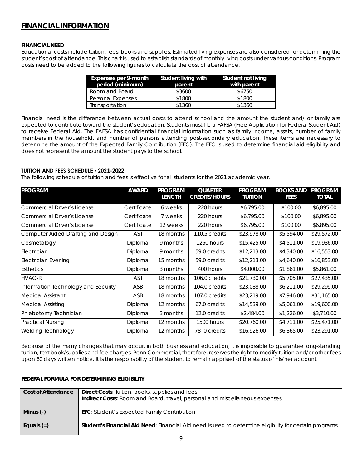# **FINANCIAL INFORMATION**

# **FINANCIAL NEED**

Educational costs include tuition, fees, books and supplies. Estimated living expenses are also considered for determining the student's cost of attendance. This chart is used to establish standards of monthly living costs under various conditions. Program costs need to be added to the following figures to calculate the cost of attendance.

| Expenses per 9-month<br>period (minimum) | Student living with<br>parent | Student not living<br>with parent |
|------------------------------------------|-------------------------------|-----------------------------------|
| Room and Board                           | \$3600                        | \$6750                            |
| Personal Expenses                        | \$1800                        | \$1800                            |
| Transportation                           | \$1360                        | \$1360                            |

Financial need is the difference between actual costs to attend school and the amount the student and/ or family are expected to contribute toward the student's education. Students must file a FAFSA (Free Application for Federal Student Aid) to receive Federal Aid. The FAFSA has confidential financial information such as family income, assets, number of family members in the household, and number of persons attending post-secondary education. These items are necessary to determine the amount of the Expected Family Contribution (EFC). The EFC is used to determine financial aid eligibility and does not represent the amount the student pays to the school.

# **TUITION AND FEES SCHEDULE ▪ 2021-2022**

The following schedule of tuition and fees is effective for all students for the 2021 academic year.

| <b>PROGRAM</b>                      | <b>AWARD</b> | <b>PROGRAM</b> | <b>QUARTER</b>       | <b>PROGRAM</b> | <b>BOOKS AND</b> | <b>PROGRAM</b> |
|-------------------------------------|--------------|----------------|----------------------|----------------|------------------|----------------|
|                                     |              | <b>LENGTH</b>  | <b>CREDITS/HOURS</b> | <b>TUITION</b> | <b>FEES</b>      | <b>TOTAL</b>   |
| Commercial Driver's License         | Certificate  | 6 weeks        | 220 hours            | \$6,795.00     | \$100.00         | \$6,895.00     |
| Commercial Driver's License         | Certificate  | 7 weeks        | 220 hours            | \$6,795.00     | \$100.00         | \$6,895.00     |
| Commercial Driver's License         | Certificate  | 12 weeks       | 220 hours            | \$6,795.00     | \$100.00         | \$6,895.00     |
| Computer Aided Drafting and Design  | <b>AST</b>   | 18 months      | 110.5 credits        | \$23,978.00    | \$5,594.00       | \$29,572.00    |
| Cosmetology                         | Diploma      | 9 months       | 1250 hours           | \$15,425.00    | \$4,511.00       | \$19,936.00    |
| Electrician                         | Diploma      | 9 months       | 59.0 credits         | \$12,213.00    | \$4,340.00       | \$16,553.00    |
| Electrician Evening                 | Diploma      | 15 months      | 59.0 credits         | \$12,213.00    | \$4,640.00       | \$16,853.00    |
| <b>Esthetics</b>                    | Diploma      | 3 months       | 400 hours            | \$4,000.00     | \$1,861.00       | \$5,861.00     |
| <b>HVAC-R</b>                       | AST          | 18 months      | 106.0 credits        | \$21,730.00    | \$5,705.00       | \$27,435.00    |
| Information Technology and Security | ASB          | 18 months      | 104.0 credits        | \$23,088.00    | \$6,211.00       | \$29,299.00    |
| Medical Assistant                   | ASB          | 18 months      | 107.0 credits        | \$23,219.00    | \$7,946.00       | \$31,165.00    |
| <b>Medical Assisting</b>            | Diploma      | 12 months      | 67.0 credits         | \$14,539.00    | \$5,061.00       | \$19,600.00    |
| Phlebotomy Technician               | Diploma      | 3 months       | 12.0 credits         | \$2,484.00     | \$1,226.00       | \$3,710.00     |
| <b>Practical Nursing</b>            | Diploma      | 12 months      | 1500 hours           | \$20,760.00    | \$4,711.00       | \$25,471.00    |
| <b>Welding Technology</b>           | Diploma      | 12 months      | 78.0 credits         | \$16,926.00    | \$6,365.00       | \$23,291.00    |

Because of the many changes that may occur, in both business and education, it is impossible to guarantee long-standing tuition, text book/supplies and fee charges. Penn Commercial, therefore, reserves the right to modify tuition and/or other fees upon 60 days written notice. It is the responsibility of the student to remain apprised of the status of his/her account.

# **FEDERAL FORMULA FOR DETERMINING ELIGIBILITY**

| Cost of Attendance | <b>Direct Costs:</b> Tuition, books, supplies and fees<br>Indirect Costs: Room and Board, travel, personal and miscellaneous expenses |
|--------------------|---------------------------------------------------------------------------------------------------------------------------------------|
| Minus (-)          | <b>EFC:</b> Student's Expected Family Contribution                                                                                    |
|                    |                                                                                                                                       |
| Equals $(=)$       | <b>Student's Financial Aid Need</b> : Financial Aid need is used to determine eligibility for certain programs                        |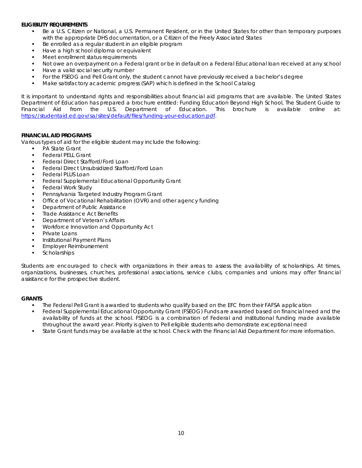# **ELIGIBILITY REQUIREMENTS**

- Be a U.S. Citizen or National, a U.S. Permanent Resident, or in the United States for other than temporary purposes with the appropriate DHS documentation, or a Citizen of the Freely Associated States
- Be enrolled as a regular student in an eligible program
- Have a high school diploma or equivalent
- Meet enrollment status requirements
- Not owe an overpayment on a Federal grant or be in default on a Federal Educational loan received at any school
- Have a valid social security number
- For the FSEOG and Pell Grant only, the student cannot have previously received a bachelor's degree
- Make satisfactory academic progress (SAP) which is defined in the School Catalog

It is important to understand rights and responsibilities about financial aid programs that are available. The United States Department of Education has prepared a brochure entitled: Funding Education Beyond High School, The Student Guide to Financial Aid from the U.S. Department of Education. This brochure is available online at: [https://studentaid.ed.gov/sa/sites/default/files/funding-your-education.pdf.](https://studentaid.ed.gov/sa/sites/default/files/funding-your-education.pdf)

# **FINANCIAL AID PROGRAMS**

Various types of aid for the eligible student may include the following:

- PA State Grant
- Federal PELL Grant
- Federal Direct Stafford/Ford Loan
- Federal Direct Unsubsidized Stafford/Ford Loan
- Federal PLUS Loan
- Federal Supplemental Educational Opportunity Grant
- Federal Work Study
- Pennsylvania Targeted Industry Program Grant
- Office of Vocational Rehabilitation (OVR) and other agency funding
- Department of Public Assistance
- Trade Assistance Act Benefits
- Department of Veteran's Affairs
- Workforce Innovation and Opportunity Act
- Private Loans
- Institutional Payment Plans
- **Employer Reimbursement**
- **Scholarships**

Students are encouraged to check with organizations in their areas to assess the availability of scholarships. At times, organizations, businesses, churches, professional associations, service clubs, companies and unions may offer financial assistance for the prospective student.

## **GRANTS**

- The Federal Pell Grant is awarded to students who qualify based on the EFC from their FAFSA application
- Federal Supplemental Educational Opportunity Grant (FSEOG) Funds are awarded based on financial need and the availability of funds at the school. FSEOG is a combination of Federal and institutional funding made available throughout the award year. Priority is given to Pell eligible students who demonstrate exceptional need
- State Grant funds may be available at the school. Check with the Financial Aid Department for more information.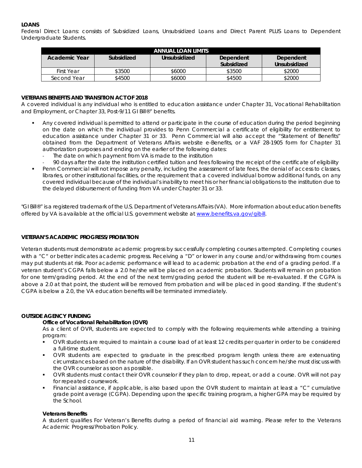# **LOANS**

Federal Direct Loans: consists of Subsidized Loans, Unsubsidized Loans and Direct Parent PLUS Loans to Dependent Undergraduate Students.

| ANNUAL LOAN LIMITS |            |              |            |              |  |
|--------------------|------------|--------------|------------|--------------|--|
| Academic Year      | Subsidized | Unsubsidized | Dependent  | Dependent    |  |
|                    |            |              | Subsidized | Unsubsidized |  |
| First Year         | \$3500     | \$6000       | \$3500     | \$2000       |  |
| Second Year        | \$4500     | \$6000       | \$4500     | \$2000       |  |

# **VETERANS BENEFITS AND TRANSITION ACT OF 2018**

A covered individual is any individual who is entitled to education assistance under Chapter 31, Vocational Rehabilitation and Employment, or Chapter 33, Post-9/11 GI Bill®" benefits.

- Any covered individual is permitted to attend or participate in the course of education during the period beginning on the date on which the individual provides to Penn Commercial a certificate of eligibility for entitlement to education assistance under Chapter 31 or 33. Penn Commercial will also accept the "Statement of Benefits" obtained from the Department of Veterans Affairs website e-Benefits, or a VAF 28-1905 form for Chapter 31 authorization purposes and ending on the earlier of the following dates:
	- The date on which payment from VA is made to the institution
	- 90 days after the date the institution certified tuition and fees following the receipt of the certificate of eligibility
- Penn Commercial will not impose any penalty, including the assessment of late fees, the denial of access to classes, libraries, or other institutional facilities, or the requirement that a covered individual borrow additional funds, on any covered individual because of the individual's inability to meet his or her financial obligations to the institution due to the delayed disbursement of funding from VA under Chapter 31 or 33.

"GI Bill®" is a registered trademark of the U.S. Department of Veterans Affairs (VA). More information about education benefits offered by VA is available at the official U.S. government website at [www.benefits.va.gov/gibill.](http://www.benefits.va.gov/gibill)

# **VETERAN'S ACADEMIC PROGRESS/PROBATION**

Veteran students must demonstrate academic progress by successfully completing courses attempted. Completing courses with a "C" or better indicates academic progress. Receiving a "D" or lower in any course and/or withdrawing from courses may put students at risk. Poor academic performance will lead to academic probation at the end of a grading period. If a veteran student's CGPA falls below a 2.0 he/she will be placed on academic probation. Students will remain on probation for one term/grading period. At the end of the next term/grading period the student will be re-evaluated. If the CGPA is above a 2.0 at that point, the student will be removed from probation and will be placed in good standing. If the student's CGPA is below a 2.0, the VA education benefits will be terminated immediately.

# **OUTSIDE AGENCY FUNDING**

## *Office of Vocational Rehabilitation (OVR)*

As a client of OVR, students are expected to comply with the following requirements while attending a training program:

- OVR students are required to maintain a course load of at least 12 credits per quarter in order to be considered a full-time student.
- OVR students are expected to graduate in the prescribed program length unless there are extenuating circumstances based on the nature of the disability. If an OVR student has such concern he/she must discuss with the OVR counselor as soon as possible.
- OVR students must contact their OVR counselor if they plan to drop, repeat, or add a course. OVR will not pay for repeated coursework.
- Financial assistance, if applicable, is also based upon the OVR student to maintain at least a "C" cumulative grade point average (CGPA). Depending upon the specific training program, a higher GPA may be required by the School.

## *Veterans Benefits*

A student qualifies For Veteran's Benefits during a period of financial aid warning. Please refer to the Veterans Academic Progress/Probation Policy.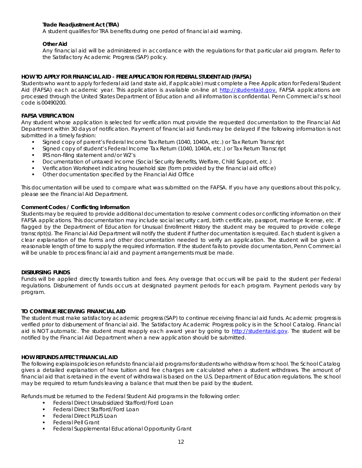# *Trade Readjustment Act (TRA)*

A student qualifies for TRA benefits during one period of financial aid warning.

# *Other Aid*

Any financial aid will be administered in accordance with the regulations for that particular aid program. Refer to the Satisfactory Academic Progress (SAP) policy.

# **HOW TO APPLY FOR FINANCIAL AID - FREE APPLICATION FOR FEDERAL STUDENT AID (FAFSA)**

Students who want to apply for federal aid (and state aid, if applicable) must complete a Free Application for Federal Student Aid (FAFSA) each academic year. This application is available on-line at [http://studentaid.gov.](http://studentaid.gov/) FAFSA applications are processed through the United States Department of Education and all information is confidential. Penn Commercial's school code is 00490200.

# **FAFSA VERIFICATION**

Any student whose application is selected for verification must provide the requested documentation to the Financial Aid Department within 30 days of notification. Payment of financial aid funds may be delayed if the following information is not submitted in a timely fashion:

- Signed copy of parent's Federal Income Tax Return (1040, 1040A, etc.) or Tax Return Transcript
- Signed copy of student's Federal Income Tax Return (1040, 1040A, etc.) or Tax Return Transcript
- IRS non-filing statement and/or W2's
- Documentation of untaxed income (Social Security Benefits, Welfare, Child Support, etc.)
- Verification Worksheet indicating household size (form provided by the financial aid office)
- Other documentation specified by the Financial Aid Office

This documentation will be used to compare what was submitted on the FAFSA. If you have any questions about this policy, please see the Financial Aid Department.

## **Comment Codes / Conflicting Information**

Students may be required to provide additional documentation to resolve comment codes or conflicting information on their FAFSA applications. This documentation may include social security card, birth certificate, passport, marriage license, etc. If flagged by the Department of Education for Unusual Enrollment History the student may be required to provide college transcript(s). The Financial Aid Department will notify the student if further documentation is required. Each student is given a clear explanation of the forms and other documentation needed to verify an application. The student will be given a reasonable length of time to supply the required information. If the student fails to provide documentation, Penn Commercial will be unable to process financial aid and payment arrangements must be made.

## **DISBURSING FUNDS**

Funds will be applied directly towards tuition and fees. Any overage that occurs will be paid to the student per Federal regulations. Disbursement of funds occurs at designated payment periods for each program. Payment periods vary by program.

## **TO CONTINUE RECEIVING FINANCIAL AID**

The student must make satisfactory academic progress (SAP) to continue receiving financial aid funds. Academic progress is verified prior to disbursement of financial aid. The Satisfactory Academic Progress policy is in the School Catalog. Financial aid is NOT automatic. The student must reapply each award year by going to [http://studentaid.gov.](http://studentaid.gov/) The student will be notified by the Financial Aid Department when a new application should be submitted.

# **HOW REFUNDS AFFECT FINANCIAL AID**

The following explains policies on refunds to financial aid programs for students who withdraw from school. The School Catalog gives a detailed explanation of how tuition and fee charges are calculated when a student withdraws. The amount of financial aid that is retained in the event of withdrawal is based on the U.S. Department of Education regulations. The school may be required to return funds leaving a balance that must then be paid by the student.

Refunds must be returned to the Federal Student Aid programs in the following order:

- Federal Direct Unsubsidized Stafford/Ford Loan
- Federal Direct Stafford/Ford Loan
- Federal Direct PLUS Loan
- Federal Pell Grant
- Federal Supplemental Educational Opportunity Grant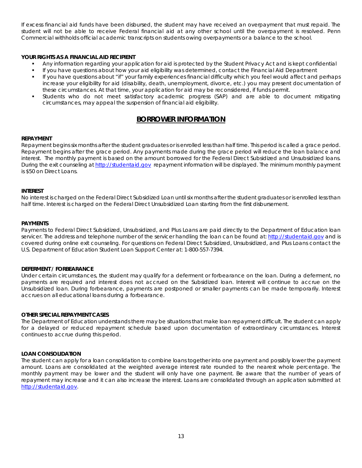If excess financial aid funds have been disbursed, the student may have received an overpayment that must repaid. The student will not be able to receive Federal financial aid at any other school until the overpayment is resolved. Penn Commercial withholds official academic transcripts on students owing overpayments or a balance to the school.

# **YOUR RIGHTS AS A FINANCIAL AID RECIPIENT**

- Any information regarding your application for aid is protected by the Student Privacy Act and is kept confidential
- If you have questions about how your aid eligibility was determined, contact the Financial Aid Department
- If you have questions about "if" your family experiences financial difficulty which you feel would affect and perhaps increase your eligibility for aid (disability, death, unemployment, divorce, etc.) you may present documentation of these circumstances. At that time, your application for aid may be reconsidered, if funds permit.
- Students who do not meet satisfactory academic progress (SAP) and are able to document mitigating circumstances, may appeal the suspension of financial aid eligibility.

# **BORROWER INFORMATION**

## **REPAYMENT**

Repayment begins six months after the student graduates or is enrolled less than half time. This period is called a grace period. Repayment begins after the grace period. Any payments made during the grace period will reduce the loan balance and interest. The monthly payment is based on the amount borrowed for the Federal Direct Subsidized and Unsubsidized loans. During the exit counseling a[t http://studentaid.gov](http://studentaid.gov/) repayment information will be displayed. The minimum monthly payment is \$50 on Direct Loans.

#### **INTEREST**

No interest is charged on the Federal Direct Subsidized Loan until six months after the student graduates or is enrolled less than half time. Interest is charged on the Federal Direct Unsubsidized Loan starting from the first disbursement.

#### **PAYMENTS**

Payments to Federal Direct Subsidized, Unsubsidized, and Plus Loans are paid directly to the Department of Education loan servicer. The address and telephone number of the servicer handling the loan can be found at[: http://studentaid.gov](http://studentaid.gov/) and is covered during online exit counseling. For questions on Federal Direct Subsidized, Unsubsidized, and Plus Loans contact the U.S. Department of Education Student Loan Support Center at: 1-800-557-7394.

#### **DEFERMENT / FORBEARANCE**

Under certain circumstances, the student may qualify for a deferment or forbearance on the loan. During a deferment, no payments are required and interest does not accrued on the Subsidized loan. Interest will continue to accrue on the Unsubsidized loan. During forbearance, payments are postponed or smaller payments can be made temporarily. Interest accrues on all educational loans during a forbearance.

#### **OTHER SPECIAL REPAYMENT CASES**

The Department of Education understands there may be situations that make loan repayment difficult. The student can apply for a delayed or reduced repayment schedule based upon documentation of extraordinary circumstances. Interest continues to accrue during this period.

## **LOAN CONSOLIDATION**

The student can apply for a loan consolidation to combine loans together into one payment and possibly lower the payment amount. Loans are consolidated at the weighted average interest rate rounded to the nearest whole percentage. The monthly payment may be lower and the student will only have one payment. Be aware that the number of years of repayment may increase and it can also increase the interest. Loans are consolidated through an application submitted at [http://studentaid.gov.](http://studentaid.gov/)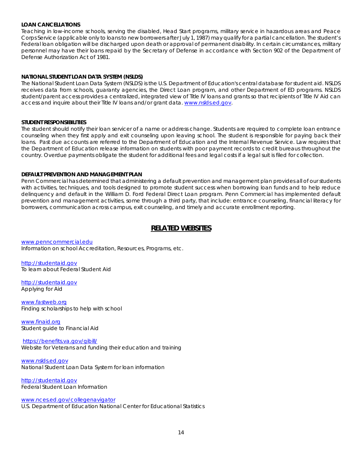## **LOAN CANCELLATIONS**

Teaching in low-income schools, serving the disabled, Head Start programs, military service in hazardous areas and Peace Corps Service (applicable only to loans to new borrowers after July 1, 1987) may qualify for a partial cancellation. The student's Federal loan obligation will be discharged upon death or approval of permanent disability. In certain circumstances, military personnel may have their loans repaid by the Secretary of Defense in accordance with Section 902 of the Department of Defense Authorization Act of 1981.

# **NATIONAL STUDENT LOAN DATA SYSTEM (NSLDS)**

The National Student Loan Data System (NSLDS) is the U.S. Department of Education's central database for student aid. NSLDS receives data from schools, guaranty agencies, the Direct Loan program, and other Department of ED programs. NSLDS student/parent access provides a centralized, integrated view of Title IV loans and grants so that recipients of Title IV Aid can access and inquire about their Title IV loans and/or grant data. [www.nslds.ed.gov.](http://www.nslds.ed.gov/)

## **STUDENT RESPONSIBILITIES**

The student should notify their loan servicer of a name or address change. Students are required to complete loan entrance counseling when they first apply and exit counseling upon leaving school. The student is responsible for paying back their loans. Past due accounts are referred to the Department of Education and the Internal Revenue Service. Law requires that the Department of Education release information on students with poor payment records to credit bureaus throughout the country. Overdue payments obligate the student for additional fees and legal costs if a legal suit is filed for collection.

## **DEFAULT PREVENTION AND MANAGEMENT PLAN**

Penn Commercial has determined that administering a default prevention and management plan provides all of our students with activities, techniques, and tools designed to promote student success when borrowing loan funds and to help reduce delinquency and default in the William D. Ford Federal Direct Loan program. Penn Commercial has implemented default prevention and management activities, some through a third party, that include: entrance counseling, financial literacy for borrowers, communication across campus, exit counseling, and timely and accurate enrollment reporting.

# **RELATED WEBSITES**

[www.penncommercial.edu](http://www.penncommercial.edu/) Information on school Accreditation, Resources, Programs, etc.

[http://studentaid.gov](http://studentaid.gov/) To learn about Federal Student Aid

[http://studentaid.gov](http://studentaid.gov/) Applying for Aid

[www.fastweb.org](http://www.fastweb.org/) Finding scholarships to help with school

[www.finaid.org](http://www.finaid.org/) Student guide to Financial Aid

<https://benefits.va.gov/gibill/>

Website for Veterans and funding their education and training

[www.nslds.ed.gov](http://www.nslds.ed.gov/) National Student Loan Data System for loan information

[http://studentaid.gov](http://studentaid.gov/) Federal Student Loan Information

[www.nces.ed.gov/collegenavigator](http://www.nces.ed.gov/collegenavigator)

U.S. Department of Education National Center for Educational Statistics